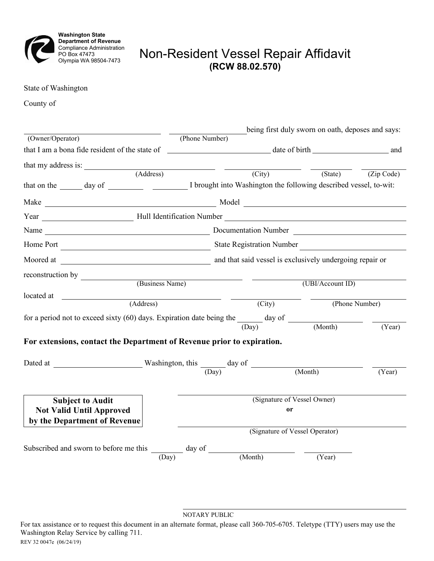

## Non-Resident Vessel Repair Affidavit **(RCW 88.02.570)**

State of Washington

County of

| <u> a shekara ta 1999 a shekara ta 1999 a shekara ta 1999 a shekara ta 1999 a shekara ta 1999 a shekara ta 1999 a shekara ta 1999 a shekara ta 1999 a shekara ta 1999 a shekara ta 1999 a shekara ta 1999 a shekara ta 1999 a sh</u> |                                |                           | being first duly sworn on oath, deposes and says: |                    |
|--------------------------------------------------------------------------------------------------------------------------------------------------------------------------------------------------------------------------------------|--------------------------------|---------------------------|---------------------------------------------------|--------------------|
| (Owner/Operator)                                                                                                                                                                                                                     | (Phone Number)                 |                           |                                                   |                    |
|                                                                                                                                                                                                                                      |                                |                           |                                                   |                    |
| that my address is: (Address)                                                                                                                                                                                                        |                                |                           |                                                   |                    |
|                                                                                                                                                                                                                                      |                                | $\overline{(City)}$       | $\frac{1}{\sqrt{2}}$                              | (State) (Zip Code) |
|                                                                                                                                                                                                                                      |                                |                           |                                                   |                    |
| Make Model Model Model Model Model Number of the Model Model Street and Street and Street and Street and Street and Street and Street and Street and Street and Street and Street and Street and Street and Street and Street        |                                |                           |                                                   |                    |
| Year Hull Identification Number Number                                                                                                                                                                                               |                                |                           |                                                   |                    |
|                                                                                                                                                                                                                                      |                                |                           |                                                   |                    |
| Home Port                                                                                                                                                                                                                            |                                | State Registration Number |                                                   |                    |
|                                                                                                                                                                                                                                      |                                |                           |                                                   |                    |
| reconstruction by                                                                                                                                                                                                                    |                                |                           |                                                   |                    |
| (Business Name)                                                                                                                                                                                                                      |                                | (UBI/Account ID)          |                                                   |                    |
| (Address)                                                                                                                                                                                                                            |                                | (City)                    |                                                   | (Phone Number)     |
|                                                                                                                                                                                                                                      |                                |                           |                                                   |                    |
| for a period not to exceed sixty (60) days. Expiration date being the $\frac{1}{(Day)}$ day of $\frac{1}{(Month)}$                                                                                                                   |                                |                           |                                                   | (Year)             |
|                                                                                                                                                                                                                                      |                                |                           |                                                   |                    |
| For extensions, contact the Department of Revenue prior to expiration.                                                                                                                                                               |                                |                           |                                                   |                    |
|                                                                                                                                                                                                                                      |                                |                           |                                                   |                    |
|                                                                                                                                                                                                                                      |                                |                           | (Month)                                           | (Year)             |
|                                                                                                                                                                                                                                      |                                |                           |                                                   |                    |
| <b>Subject to Audit</b>                                                                                                                                                                                                              | (Signature of Vessel Owner)    |                           |                                                   |                    |
| <b>Not Valid Until Approved</b>                                                                                                                                                                                                      | <b>or</b>                      |                           |                                                   |                    |
| by the Department of Revenue                                                                                                                                                                                                         |                                |                           |                                                   |                    |
|                                                                                                                                                                                                                                      | (Signature of Vessel Operator) |                           |                                                   |                    |
|                                                                                                                                                                                                                                      |                                |                           |                                                   |                    |
| Subscribed and sworn to before me this $\frac{1}{\sqrt{2\pi}}$ day of<br>(Day)                                                                                                                                                       |                                | (Month)                   | (Year)                                            |                    |
|                                                                                                                                                                                                                                      |                                |                           |                                                   |                    |

NOTARY PUBLIC

For tax assistance or to request this document in an alternate format, please call 360-705-6705. Teletype (TTY) users may use the Washington Relay Service by calling 711. REV 32 0047e (06/24/19)